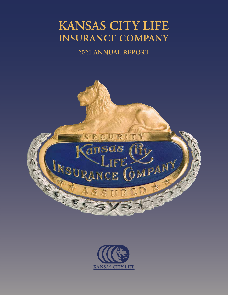# **KANSAS CITY LIFE INSURANCE COMPANY**

# **2021 ANNUAL REPORT**



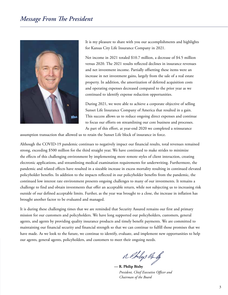### *Message From The President*



It is my pleasure to share with you our accomplishments and highlights for Kansas City Life Insurance Company in 2021.

Net income in 2021 totaled \$10.7 million, a decrease of \$4.5 million versus 2020. The 2021 results reflected declines in insurance revenues and net investment income. Partially offsetting these items were an increase in net investment gains, largely from the sale of a real estate property. In addition, the amortization of deferred acquisition costs and operating expenses decreased compared to the prior year as we continued to identify expense reduction opportunities.

During 2021, we were able to achieve a corporate objective of selling Sunset Life Insurance Company of America that resulted in a gain. This success allows us to reduce ongoing direct expenses and continue to focus our efforts on streamlining our core business and processes. As part of this effort, at year-end 2020 we completed a reinsurance

assumption transaction that allowed us to retain the Sunset Life block of insurance in force.

Although the COVID-19 pandemic continues to negatively impact our financial results, total revenues remained strong, exceeding \$500 million for the third straight year. We have continued to make strides to minimize the effects of this challenging environment by implementing more remote styles of client interaction, creating electronic applications, and streamlining medical examination requirements for underwriting. Furthermore, the pandemic and related effects have resulted in a sizeable increase in excess mortality resulting in continued elevated policyholder benefits. In addition to the impacts reflected in our policyholder benefits from the pandemic, the continued low interest rate environment presents ongoing challenges to many of our investments. It remains a challenge to find and obtain investments that offer an acceptable return, while not subjecting us to increasing risk outside of our defined acceptable limits. Further, as the year was brought to a close, the increase in inflation has brought another factor to be evaluated and managed.

It is during these challenging times that we are reminded that Security Assured remains our first and primary mission for our customers and policyholders. We have long supported our policyholders, customers, general agents, and agents by providing quality insurance products and timely benefit payments. We are committed to maintaining our financial security and financial strength so that we can continue to fulfill those promises that we have made. As we look to the future, we continue to identify, evaluate, and implement new opportunities to help our agents, general agents, policyholders, and customers to meet their ongoing needs.

or Phys By

**— R. Philip Bixby** *President, Chief Executive Officer and Chairman of the Board*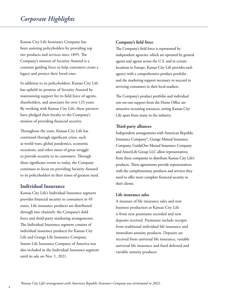Kansas City Life Insurance Company has been assisting policyholders by providing top tier products and services since 1895. The Company's mission of Security Assured is a constant guiding force to help customers create a legacy and protect their loved ones.

In addition to its policyholders, Kansas City Life has upheld its promise of Security Assured by maintaining support for its field force of agents, shareholders, and associates for over 125 years. By working with Kansas City Life, these partners have pledged their loyalty to the Company's mission of providing financial security.

Throughout the years, Kansas City Life has continued through significant crises, such as world wars, global pandemics, economic recessions, and other times of great struggle to provide security to its customers. Through these significant events to today, the Company continues to focus on providing Security Assured to its policyholders in their times of greatest need.

### **Individual Insurance**

Kansas City Life's Individual Insurance segment provides financial security to consumers in 49 states. Life insurance products are distributed through two channels: the Company's field force and third-party marketing arrangements. The Individual Insurance segment consists of individual insurance products for Kansas City Life and Grange Life Insurance Company. Sunset Life Insurance Company of America was also included in the Individual Insurance segment until its sale on Nov. 1, 2021.

#### **Company's field force**

The Company's field force is represented by independent agencies, which are operated by general agents and agents across the U.S. and in certain locations in Europe. Kansas City Life provides each agency with a comprehensive product portfolio and the marketing support necessary to succeed in servicing consumers in their local markets.

The Company's product portfolio and individual one-on-one support from the Home Office are attractive recruiting resources, setting Kansas City Life apart from many in the industry.

#### **Third-party alliances**

Independent arrangements with American Republic Insurance Company\*, Grange Mutual Insurance Company, GuideOne Mutual Insurance Company and AmeriLife Group LLC allow representatives from these companies to distribute Kansas City Life's products. These agreements provide representatives with the complementary products and services they need to offer more complete financial security to their clients.

#### **Life insurance sales**

A measure of life insurance sales and new business production at Kansas City Life is from new premiums recorded and new deposits received. Premiums include receipts from traditional individual life insurance and immediate annuity products. Deposits are received from universal life insurance, variable universal life insurance and fixed deferred and variable annuity products.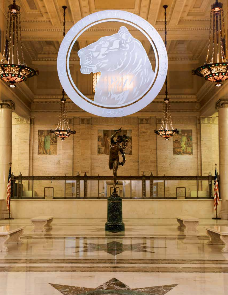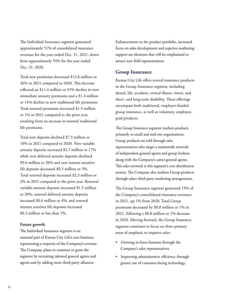The Individual Insurance segment generated approximately 51% of consolidated insurance revenues for the year ended Dec. 31, 2021, down from approximately 54% for the year ended Dec. 31, 2020.

Total new premiums decreased \$12.8 million or 36% in 2021 compared to 2020. This decrease reflected an \$11.4 million or 45% decline in new immediate annuity premiums and a \$1.4 million or 14% decline in new traditional life premiums. Total renewal premiums increased \$1.5 million or 1% in 2021 compared to the prior year, resulting from an increase in renewal traditional life premiums.

Total new deposits declined \$7.3 million or 10% in 2021 compared to 2020. New variable annuity deposits increased \$2.7 million or 17% while new deferred annuity deposits declined \$9.6 million or 20% and new interest sensitive life deposits decreased \$0.3 million or 3%. Total renewal deposits increased \$2.3 million or 2% in 2021 compared to the prior year. Renewal variable annuity deposits increased \$1.5 million or 20%, renewal deferred annuity deposits increased \$0.6 million or 4%, and renewal interest sensitive life deposits increased \$0.2 million or less than 1%.

#### **Future growth**

The Individual Insurance segment is an essential part of Kansas City Life's core business, representing a majority of the Company's revenue. The Company plans to continue to grow the segment by recruiting talented general agents and agents and by adding more third-party alliances.

Enhancements to the product portfolio, increased focus on sales development and superior marketing support are elements that will be emphasized to attract new field representatives.

#### **Group Insurance**

Kansas City Life offers several insurance products in the Group Insurance segment, including dental, life, accident, critical illness, vision, and short- and long-term disability. These offerings encompass both traditional, employer-funded group insurance, as well as voluntary, employeepaid products.

The Group Insurance segment markets products primarily to small and mid-size organizations. Group products are sold through sales representatives who target a nationwide network of independent general agents and group brokers, along with the Company's career general agents. This sales network is this segment's core distribution system. The Company also markets Group products through select third-party marketing arrangements.

The Group Insurance segment generated 19% of the Company's consolidated insurance revenues in 2021, up 1% from 2020. Total Group premiums decreased by \$0.8 million or 1% in 2021, following a \$0.8 million or 1% decrease in 2020. Moving forward, the Group Insurance segment continues to focus on three primary areas of emphasis to improve sales:

- Growing in-force business through the Company's sales representatives.
- Improving administrative efficiency through greater use of customer-facing technology,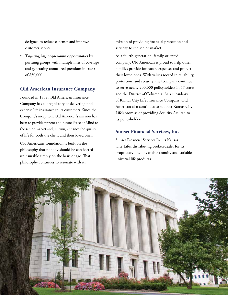designed to reduce expenses and improve customer service.

• Targeting higher-premium opportunities by pursuing groups with multiple lines of coverage and generating annualized premium in excess of \$50,000.

### **Old American Insurance Company**

Founded in 1939, Old American Insurance Company has a long history of delivering final expense life insurance to its customers. Since the Company's inception, Old American's mission has been to provide present and future Peace of Mind to the senior market and, in turn, enhance the quality of life for both the client and their loved ones.

Old American's foundation is built on the philosophy that nobody should be considered uninsurable simply on the basis of age. That philosophy continues to resonate with its

mission of providing financial protection and security to the senior market.

As a fourth-generation, family-oriented company, Old American is proud to help other families provide for future expenses and protect their loved ones. With values rooted in reliability, protection, and security, the Company continues to serve nearly 200,000 policyholders in 47 states and the District of Columbia. As a subsidiary of Kansas City Life Insurance Company, Old American also continues to support Kansas City Life's promise of providing Security Assured to its policyholders.

### **Sunset Financial Services, Inc.**

Sunset Financial Services Inc. is Kansas City Life's distributing broker/dealer for its proprietary line of variable annuity and variable universal life products.

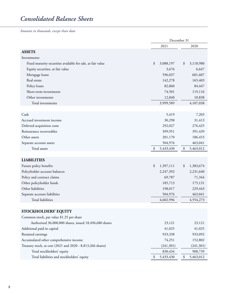# *Consolidated Balance Sheets*

*Amounts in thousands, except share data*

|                                                             | December 31 |            |    |           |
|-------------------------------------------------------------|-------------|------------|----|-----------|
|                                                             |             | 2021       |    | 2020      |
| <b>ASSETS</b>                                               |             |            |    |           |
| Investments:                                                |             |            |    |           |
| Fixed maturity securities available for sale, at fair value | \$          | 3,088,197  | \$ | 3,118,980 |
| Equity securities, at fair value                            |             | 3,676      |    | 6,647     |
| Mortgage loans                                              |             | 596,037    |    | 601,607   |
| Real estate                                                 |             | 142,278    |    | 165,403   |
| Policy loans                                                |             | 82,060     |    | 84,447    |
| Short-term investments                                      |             | 74,501     |    | 119,116   |
| Other investments                                           |             | 12,840     |    | 10,838    |
| Total investments                                           |             | 3,999,589  |    | 4,107,038 |
|                                                             |             |            |    |           |
| Cash                                                        |             | 5,419      |    | 7,203     |
| Accrued investment income                                   |             | 30,298     |    | 31,413    |
| Deferred acquisition costs                                  |             | 292,027    |    | 276,425   |
| Reinsurance recoverables                                    |             | 399,951    |    | 391,439   |
| Other assets                                                |             | 201,170    |    | 186,453   |
| Separate account assets                                     |             | 504,976    |    | 463,041   |
| Total assets                                                | \$          | 5,433,430  | \$ | 5,463,012 |
|                                                             |             |            |    |           |
| <b>LIABILITIES</b>                                          |             |            |    |           |
| Future policy benefits                                      | \$          | 1,397,111  | \$ | 1,383,674 |
| Policyholder account balances                               |             | 2,247,392  |    | 2,231,640 |
| Policy and contract claims                                  |             | 69,787     |    | 71,344    |
| Other policyholder funds                                    |             | 185,713    |    | 175,131   |
| Other liabilities                                           |             | 198,017    |    | 229,443   |
| Separate account liabilities                                |             | 504,976    |    | 463,041   |
| Total liabilities                                           |             | 4,602,996  |    | 4,554,273 |
|                                                             |             |            |    |           |
| STOCKHOLDERS' EQUITY                                        |             |            |    |           |
| Common stock, par value \$1.25 per share                    |             |            |    |           |
| Authorized 36,000,000 shares, issued 18,496,680 shares      |             | 23,121     |    | 23,121    |
| Additional paid in capital                                  |             | 41,025     |    | 41,025    |
| Retained earnings                                           |             | 933,338    |    | 933,092   |
| Accumulated other comprehensive income                      |             | 74,251     |    | 152,802   |
| Treasury stock, at cost (2021 and 2020 - 8,813,266 shares)  |             | (241, 301) |    | (241,301) |
| Total stockholders' equity                                  |             | 830,434    |    | 908,739   |
| Total liabilities and stockholders' equity                  |             | 5,433,430  | \$ | 5,463,012 |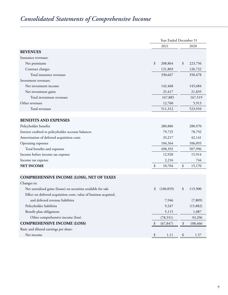# *Consolidated Statements of Comprehensive Income*

|                                                                   | Year Ended December 31 |            |    |           |
|-------------------------------------------------------------------|------------------------|------------|----|-----------|
|                                                                   |                        | 2021       |    | 2020      |
| <b>REVENUES</b>                                                   |                        |            |    |           |
| Insurance revenues:                                               |                        |            |    |           |
| Net premiums                                                      | \$                     | 208,864    | \$ | 223,756   |
| Contract charges                                                  |                        | 121,803    |    | 126,722   |
| Total insurance revenues                                          |                        | 330,667    |    | 350,478   |
| Investment revenues:                                              |                        |            |    |           |
| Net investment income                                             |                        | 142,468    |    | 145,684   |
| Net investment gains                                              |                        | 25,417     |    | 21,835    |
| Total investment revenues                                         |                        | 167,885    |    | 167,519   |
| Other revenues                                                    |                        | 12,760     |    | 5,913     |
| Total revenues                                                    |                        | 511,312    |    | 523,910   |
|                                                                   |                        |            |    |           |
| <b>BENEFITS AND EXPENSES</b>                                      |                        |            |    |           |
| Policyholder benefits                                             |                        | 280,886    |    | 280,970   |
| Interest credited to policyholder account balances                |                        | 79,725     |    | 78,792    |
| Amortization of deferred acquisition costs                        |                        | 33,217     |    | 42,141    |
| Operating expenses                                                |                        | 104,564    |    | 106,093   |
| Total benefits and expenses                                       |                        | 498,392    |    | 507,996   |
| Income before income tax expense                                  |                        | 12,920     |    | 15,914    |
| Income tax expense                                                |                        | 2,216      |    | 744       |
| <b>NET INCOME</b>                                                 | \$                     | 10,704     | \$ | 15,170    |
|                                                                   |                        |            |    |           |
| COMPREHENSIVE INCOME (LOSS), NET OF TAXES                         |                        |            |    |           |
| Changes in:                                                       |                        |            |    |           |
| Net unrealized gains (losses) on securities available for sale    | \$                     | (100, 859) | \$ | 115,900   |
| Effect on deferred acquisition costs, value of business acquired, |                        |            |    |           |
| and deferred revenue liabilities                                  |                        | 7,946      |    | (7,809)   |
| Policyholder liabilities                                          |                        | 9,247      |    | (15, 882) |
| Benefit plan obligations                                          |                        | 5,115      |    | 1,087     |
| Other comprehensive income (loss)                                 |                        | (78, 551)  |    | 93,296    |
| <b>COMPREHENSIVE INCOME (LOSS)</b>                                | \$                     | (67, 847)  | \$ | 108,466   |
| Basic and diluted earnings per share:                             |                        |            |    |           |
| Net income                                                        | \$                     | 1.11       | \$ | 1.57      |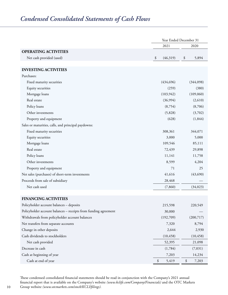### *Condensed Consolidated Statements of Cash Flows*

|                                                                 | Year Ended December 31 |    |           |
|-----------------------------------------------------------------|------------------------|----|-----------|
|                                                                 | 2021                   |    | 2020      |
| <b>OPERATING ACTIVITIES</b>                                     |                        |    |           |
| Net cash provided (used)                                        | \$<br>(46,319)         | \$ | 5,894     |
|                                                                 |                        |    |           |
| <b>INVESTING ACTIVITIES</b>                                     |                        |    |           |
| Purchases:                                                      |                        |    |           |
| Fixed maturity securities                                       | (434,696)              |    | (344,098) |
| Equity securities                                               | (259)                  |    | (380)     |
| Mortgage loans                                                  | (103, 942)             |    | (109,060) |
| Real estate                                                     | (36,994)               |    | (2,610)   |
| Policy loans                                                    | (8,754)                |    | (8,706)   |
| Other investments                                               | (5,828)                |    | (3,702)   |
| Property and equipment                                          | (628)                  |    | (1,844)   |
| Sales or maturities, calls, and principal paydowns:             |                        |    |           |
| Fixed maturity securities                                       | 308,361                |    | 344,071   |
| Equity securities                                               | 3,000                  |    | 5,000     |
| Mortgage loans                                                  | 109,546                |    | 85,111    |
| Real estate                                                     | 72,439                 |    | 29,898    |
| Policy loans                                                    | 11,141                 |    | 11,758    |
| Other investments                                               | 8,599                  |    | 4,204     |
| Property and equipment                                          | 71                     |    | 25        |
| Net sales (purchases) of short-term investments                 | 41,616                 |    | (43,690)  |
| Proceeds from sale of subsidiary                                | 28,468                 |    |           |
| Net cash used                                                   | (7,860)                |    | (34, 023) |
|                                                                 |                        |    |           |
| <b>FINANCING ACTIVITIES</b>                                     |                        |    |           |
| Policyholder account balances - deposits                        | 215,598                |    | 220,549   |
| Policyholder account balances - receipts from funding agreement | 30,000                 |    |           |
| Withdrawals from policyholder account balances                  | (192,709)              |    | (200,717) |
| Net transfers from separate accounts                            | 7,320                  |    | 8,794     |
| Change in other deposits                                        | 2,644                  |    | 2,930     |
| Cash dividends to stockholders                                  | (10, 458)              |    | (10, 458) |
| Net cash provided                                               | 52,395                 |    | 21,098    |
| Decrease in cash                                                | (1,784)                |    | (7,031)   |
| Cash at beginning of year                                       | 7,203                  |    | 14,234    |
| Cash at end of year                                             | \$<br>5,419            | \$ | 7,203     |

These condensed consolidated financial statements should be read in conjunction with the Company's 2021 annual financial report that is available on the Company's website *(www.kclife.com/Company/Financials)* and the OTC Markets 10 Group website *(www.otcmarkets.com/stock/KCLI/filings).*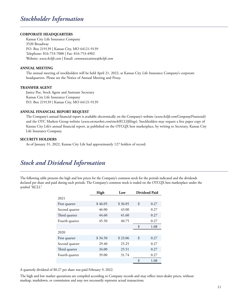#### **CORPORATE HEADQUARTERS**

Kansas City Life Insurance Company 3520 Broadway P.O. Box 219139 | Kansas City, MO 64121-9139 Telephone: 816-753-7000 | Fax: 816-753-4902 Website: *www.kclife.com* | Email: *communications@kclife.com*

#### **ANNUAL MEETING**

The annual meeting of stockholders will be held April 21, 2022, at Kansas City Life Insurance Company's corporate headquarters. Please see the Notice of Annual Meeting and Proxy.

#### **TRANSFER AGENT**

Janice Poe, Stock Agent and Assistant Secretary Kansas City Life Insurance Company P.O. Box 219139 | Kansas City, MO 64121-9139

#### **ANNUAL FINANCIAL REPORT REQUEST**

The Company's annual financial report is available electronically on the Company's website (*www.kclife.com/Company/Financials*) and the OTC Markets Group website (*www.otcmarkets.com/stock/KCLI/filings*). Stockholders may request a free paper copy of Kansas City Life's annual financial report, as published on the OTCQX best marketplace, by writing to Secretary, Kansas City Life Insurance Company.

#### **SECURITY HOLDERS**

As of January 31, 2022, Kansas City Life had approximately 127 holders of record.

### *Stock and Dividend Information*

The following table presents the high and low prices for the Company's common stock for the periods indicated and the dividends declared per share and paid during such periods. The Company's common stock is traded on the OTCQX best marketplace under the symbol "KCLI."

|                | High    | Low     | <b>Dividend Paid</b> |      |
|----------------|---------|---------|----------------------|------|
| 2021           |         |         |                      |      |
| First quarter  | \$46.05 | \$36.05 | \$                   | 0.27 |
| Second quarter | 46.00   | 43.00   |                      | 0.27 |
| Third quarter  | 44.60   | 41.60   |                      | 0.27 |
| Fourth quarter | 45.50   | 40.75   |                      | 0.27 |
|                |         |         | \$                   | 1.08 |
| 2020           |         |         |                      |      |
| First quarter  | \$34.50 | \$23.06 | \$                   | 0.27 |
| Second quarter | 29.40   | 25.25   |                      | 0.27 |
| Third quarter  | 34.00   | 25.51   |                      | 0.27 |
| Fourth quarter | 39.00   | 31.74   |                      | 0.27 |
|                |         |         | \$                   | 1.08 |

A quarterly dividend of \$0.27 per share was paid February 9, 2022.

The high and low market quotations are compiled according to Company records and may reflect inter-dealer prices, without markup, markdown, or commission and may not necessarily represent actual transactions.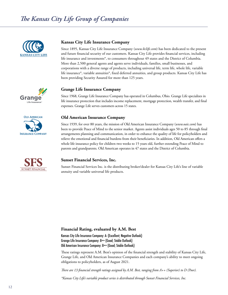

#### **Kansas City Life Insurance Company**

Since 1895, Kansas City Life Insurance Company (*www.kclife.com*) has been dedicated to the present and future financial security of our customers. Kansas City Life provides financial services, including life insurance and investments\*, to consumers throughout 49 states and the District of Columbia. More than 2,500 general agents and agents serve individuals, families, small businesses, and corporations with a diverse range of products, including universal life, term life, whole life, variable life insurance\*, variable annuities\*, fixed deferred annuities, and group products. Kansas City Life has been providing Security Assured for more than 125 years.







#### **Grange Life Insurance Company**

Since 1968, Grange Life Insurance Company has operated in Columbus, Ohio. Grange Life specializes in life insurance protection that includes income replacement, mortgage protection, wealth transfer, and final expenses. Grange Life serves customers across 15 states.

#### **Old American Insurance Company**

Since 1939, for over 80 years, the mission of Old American Insurance Company (*www.oaic.com*) has been to provide Peace of Mind to the senior market. Agents assist individuals ages 50 to 85 through final arrangements planning and communication, in order to enhance the quality of life for policyholders and relieve the emotional and financial burdens from their beneficiaries. In addition, Old American offers a whole life insurance policy for children two weeks to 15 years old, further extending Peace of Mind to parents and grandparents. Old American operates in 47 states and the District of Columbia.

#### **Sunset Financial Services, Inc.**

Sunset Financial Services Inc. is the distributing broker/dealer for Kansas City Life's line of variable annuity and variable universal life products.

#### **Financial Rating, evaluated by A.M. Best**

Kansas City Life Insurance Company: A- (Excellent; Negative Outlook) Grange Life Insurance Company: B++ (Good; Stable Outlook) Old American Insurance Company: B++ (Good; Stable Outlook)

These ratings represent A.M. Best's opinion of the financial strength and stability of Kansas City Life, Grange Life, and Old American Insurance Companies and each company's ability to meet ongoing obligations to policyholders, as of August 2021.

*There are 13 financial strength ratings assigned by A.M. Best, ranging from A++ (Superior) to D (Poor).*

*\*Kansas City Life's variable product series is distributed through Sunset Financial Services, Inc.*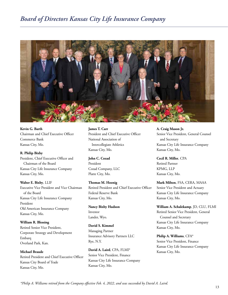

**Kevin G. Barth** Chairman and Chief Executive Officer Commerce Bank Kansas City, Mo.

**R. Philip Bixby** President, Chief Executive Officer and Chairman of the Board Kansas City Life Insurance Company Kansas City, Mo.

**Walter E. Bixby**, LLIF Executive Vice President and Vice Chairman of the Board Kansas City Life Insurance Company President Old American Insurance Company Kansas City, Mo.

**William R. Blessing** Retired Senior Vice President, Corporate Strategy and Development Embarq Overland Park, Kan.

**Michael Braude** Retired President and Chief Executive Officer Kansas City Board of Trade Kansas City, Mo.

**James T. Carr** President and Chief Executive Officer National Association of Intercollegiate Athletics Kansas City, Mo.

**John C. Cozad** President Cozad Company, LLC Platte City, Mo.

**Thomas M. Hoenig** Retired President and Chief Executive Officer Federal Reserve Bank Kansas City, Mo.

**Nancy Bixby Hudson** Investor Lander, Wyo.

**David S. Kimmel** Managing Partner Insurance Advisory Partners LLC Rye, N.Y.

**David A. Laird**, CPA, FLMI\* Senior Vice President, Finance Kansas City Life Insurance Company Kansas City, Mo.

**A. Craig Mason Jr.** Senior Vice President, General Counsel and Secretary Kansas City Life Insurance Company Kansas City, Mo.

**Cecil R. Miller**, CPA Retired Partner KPMG, LLP Kansas City, Mo.

**Mark Milton**, FSA, CERA, MAAA Senior Vice President and Actuary Kansas City Life Insurance Company Kansas City, Mo.

**William A. Schalekamp**, JD, CLU, FLMI Retired Senior Vice President, General Counsel and Secretary Kansas City Life Insurance Company Kansas City, Mo.

**Philip A. Williams**, CFA\* Senior Vice President, Finance Kansas City Life Insurance Company Kansas City, Mo.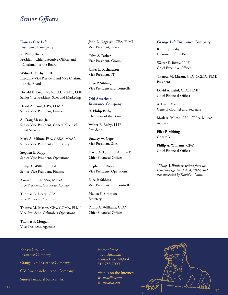### *Senior Officers*

#### **Kansas City Life Insurance Company**

**R. Philip Bixby** President, Chief Executive Officer and Chairman of the Board

**Walter E. Bixby**, LLIF Executive Vice President and Vice Chairman of the Board

**Donald E. Krebs**, MSM, CLU, ChFC, LLIF Senior Vice President, Sales and Marketing

**David A. Laird**, CPA, FLMI\* Senior Vice President, Finance

**A. Craig Mason Jr.** Senior Vice President, General Counsel and Secretary

**Mark A. Milton**, FSA, CERA, MAAA Senior Vice President and Actuary

**Stephen E. Ropp** Senior Vice President, Operations

**Philip A. Williams**, CFA\* Senior Vice President, Finance

**Aaron L. Bush**, ASA, MAAA Vice President, Corporate Actuary

**Thomas B. Deacy**, CFA Vice President, Securities

**Theresa M. Mason**, CPA, CGMA, FLMI Vice President, Columbus Operations

**Thomas P. Morgan** Vice President, Agencies **John L. Nogalski**, CPA, FLMI Vice President, Taxes

**Talva S. Parker** Vice President, Group

**James L. Richardson** Vice President, IT

**Ellee P. Sibbing** Vice President and Controller

#### **Old American Insurance Company**

**R. Philip Bixby** Chairman of the Board

**Walter E. Bixby**, LLIF President

**Bradley W. Cope** Vice President, Sales

**David A. Laird**, CPA, FLMI\* Chief Financial Officer

**Stephen E. Ropp** Vice President, Operations

**Ellee P. Sibbing** Vice President and Controller

**Malika S. Simmons** Secretary

**Philip A. Williams**, CFA\* Chief Financial Officer

#### **Grange Life Insurance Company**

**R. Philip Bixby** Chairman of the Board

**Walter E. Bixby**, LLIF Chief Executive Officer

**Theresa M. Mason**, CPA, CGMA, FLMI President

**David A. Laird**, CPA, FLMI\* Chief Financial Officer

**A. Craig Mason Jr.**  General Counsel and Secretary

**Mark A. Milton**, FSA, CERA, MAAA Actuary

**Ellee P. Sibbing** Controller

**Philip A. Williams**, CFA\* Chief Financial Officer

*\*Philip A. Williams retired from the Company effective Feb. 4, 2022, and was succeeded by David A. Laird.*

Kansas City Life Insurance Company

Grange Life Insurance Company

Old American Insurance Company

Sunset Financial Services, Inc.

Home Office 3520 Broadway Kansas City, MO 64111 816-753-7000

Visit us on the Internet: www.kclife.com www.oaic.com